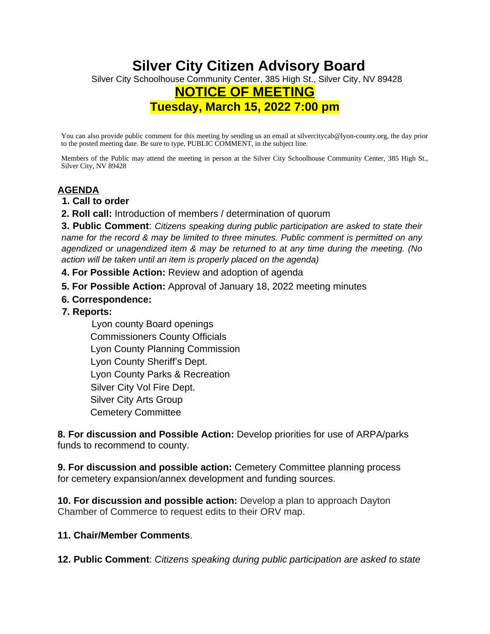## **Silver City Citizen Advisory Board** Silver City Schoolhouse Community Center, 385 High St., Silver City, NV 89428 **NOTICE OF MEETING Tuesday, March 15, 2022 7:00 pm**

You can also provide public comment for this meeting by sending us an email at silvercitycab@lyon-county.org, the day prior to the posted meeting date. Be sure to type, PUBLIC COMMENT, in the subject line.

Members of the Public may attend the meeting in person at the Silver City Schoolhouse Community Center, 385 High St., Silver City, NV 89428

## **AGENDA**

- **1. Call to order**
- **2. Roll call:** Introduction of members / determination of quorum

**3. Public Comment**: *Citizens speaking during public participation are asked to state their name for the record & may be limited to three minutes. Public comment is permitted on any agendized or unagendized item & may be returned to at any time during the meeting. (No action will be taken until an item is properly placed on the agenda)* 

- **4. For Possible Action:** Review and adoption of agenda
- **5. For Possible Action:** Approval of January 18, 2022 meeting minutes
- **6. Correspondence:**
- **7. Reports:**

 Lyon county Board openings Commissioners County Officials Lyon County Planning Commission Lyon County Sheriff's Dept. Lyon County Parks & Recreation Silver City Vol Fire Dept. Silver City Arts Group Cemetery Committee

**8. For discussion and Possible Action:** Develop priorities for use of ARPA/parks funds to recommend to county.

**9. For discussion and possible action:** Cemetery Committee planning process for cemetery expansion/annex development and funding sources.

**10. For discussion and possible action:** Develop a plan to approach Dayton Chamber of Commerce to request edits to their ORV map.

## **11. Chair/Member Comments**.

**12. Public Comment**: *Citizens speaking during public participation are asked to state*